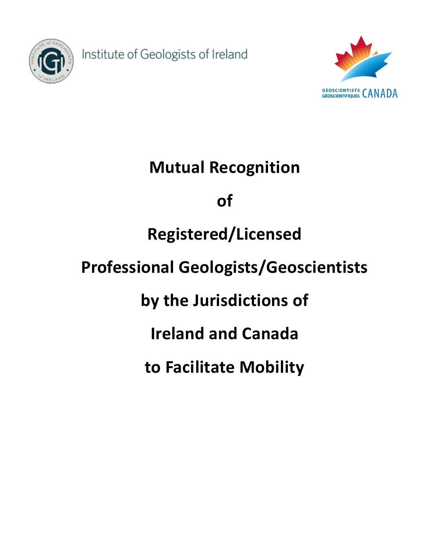

Institute of Geologists of Ireland



# **Mutual Recognition of Registered/Licensed Professional Geologists/Geoscientists by the Jurisdictions of Ireland and Canada to Facilitate Mobility**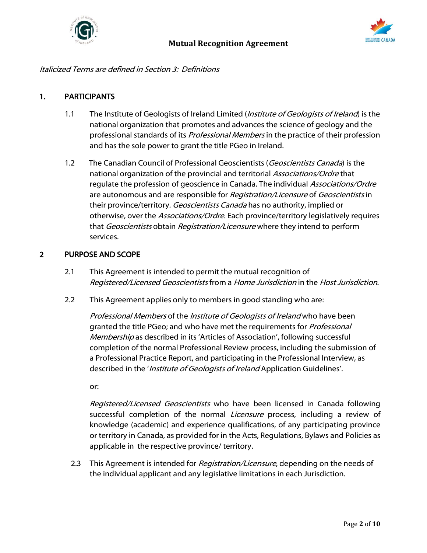



#### Italicized Terms are defined in Section 3: Definitions

## 1. PARTICIPANTS

- 1.1 The Institute of Geologists of Ireland Limited (*Institute of Geologists of Ireland*) is the national organization that promotes and advances the science of geology and the professional standards of its *Professional Members* in the practice of their profession and has the sole power to grant the title PGeo in Ireland.
- 1.2 The Canadian Council of Professional Geoscientists (Geoscientists Canada) is the national organization of the provincial and territorial Associations/Ordre that regulate the profession of geoscience in Canada. The individual Associations/Ordre are autonomous and are responsible for *Registration/Licensure* of *Geoscientists* in their province/territory. Geoscientists Canada has no authority, implied or otherwise, over the *Associations/Ordre*. Each province/territory legislatively requires that Geoscientists obtain Registration/Licensure where they intend to perform services.

#### 2 PURPOSE AND SCOPE

- 2.1 This Agreement is intended to permit the mutual recognition of Registered/Licensed Geoscientists from a Home Jurisdiction in the Host Jurisdiction.
- 2.2 This Agreement applies only to members in good standing who are:

Professional Members of the Institute of Geologists of Ireland who have been granted the title PGeo; and who have met the requirements for *Professional* Membership as described in its 'Articles of Association', following successful completion of the normal Professional Review process, including the submission of a Professional Practice Report, and participating in the Professional Interview, as described in the 'Institute of Geologists of Ireland Application Guidelines'.

or:

Registered/Licensed Geoscientists who have been licensed in Canada following successful completion of the normal Licensure process, including a review of knowledge (academic) and experience qualifications, of any participating province or territory in Canada, as provided for in the Acts, Regulations, Bylaws and Policies as applicable in the respective province/ territory.

2.3 This Agreement is intended for *Registration/Licensure*, depending on the needs of the individual applicant and any legislative limitations in each Jurisdiction.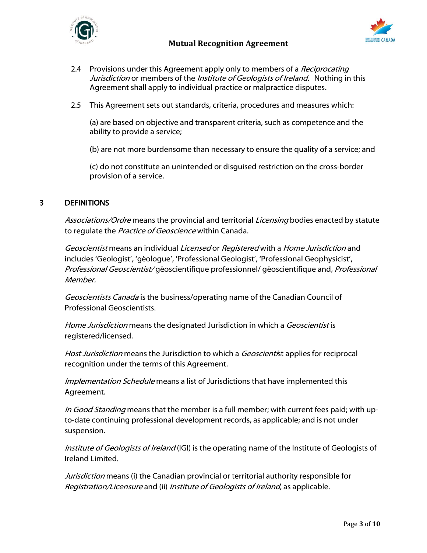



- 2.4 Provisions under this Agreement apply only to members of a Reciprocating Jurisdiction or members of the *Institute of Geologists of Ireland*. Nothing in this Agreement shall apply to individual practice or malpractice disputes.
- 2.5 This Agreement sets out standards, criteria, procedures and measures which:

(a) are based on objective and transparent criteria, such as competence and the ability to provide a service;

(b) are not more burdensome than necessary to ensure the quality of a service; and

(c) do not constitute an unintended or disguised restriction on the cross-border provision of a service.

# 3 DEFINITIONS

Associations/Ordre means the provincial and territorial Licensing bodies enacted by statute to regulate the Practice of Geoscience within Canada.

Geoscientist means an individual Licensed or Registered with a Home Jurisdiction and includes 'Geologist', 'géologue', 'Professional Geologist', 'Professional Geophysicist', Professional Geoscientist/ géoscientifique professionnel/ géoscientifique and, Professional Member.

Geoscientists Canada is the business/operating name of the Canadian Council of Professional Geoscientists.

Home Jurisdiction means the designated Jurisdiction in which a Geoscientist is registered/licensed.

Host Jurisdiction means the Jurisdiction to which a Geoscientist applies for reciprocal recognition under the terms of this Agreement.

Implementation Schedule means a list of Jurisdictions that have implemented this Agreement.

In Good Standing means that the member is a full member; with current fees paid; with upto-date continuing professional development records, as applicable; and is not under suspension.

Institute of Geologists of Ireland (IGI) is the operating name of the Institute of Geologists of Ireland Limited.

Jurisdiction means (i) the Canadian provincial or territorial authority responsible for Registration/Licensure and (ii) Institute of Geologists of Ireland, as applicable.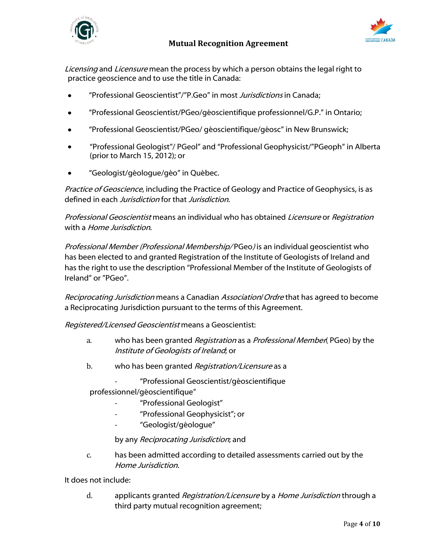



Licensing and Licensure mean the process by which a person obtains the legal right to practice geoscience and to use the title in Canada:

- "Professional Geoscientist"/"P.Geo" in most Jurisdictions in Canada;
- "Professional Geoscientist/PGeo/géoscientifique professionnel/G.P." in Ontario;
- "Professional Geoscientist/PGeo/ géoscientifique/géosc" in New Brunswick;
- "Professional Geologist"/ PGeol" and "Professional Geophysicist/"PGeoph" in Alberta  $\bullet$ (prior to March 15, 2012); or
- "Geologist/géologue/géo" in Québec.

Practice of Geoscience, including the Practice of Geology and Practice of Geophysics, is as defined in each *Jurisdiction* for that *Jurisdiction*.

Professional Geoscientist means an individual who has obtained Licensure or Registration with a *Home Jurisdiction*.

Professional Member (Professional Membership/ PGeo) is an individual geoscientist who has been elected to and granted Registration of the Institute of Geologists of Ireland and has the right to use the description "Professional Member of the Institute of Geologists of Ireland" or "PGeo".

Reciprocating Jurisdiction means a Canadian Association/ Ordre that has agreed to become a Reciprocating Jurisdiction pursuant to the terms of this Agreement.

Registered/Licensed Geoscientist means a Geoscientist:

- a. who has been granted *Registration* as a *Professional Member*(PGeo) by the Institute of Geologists of Ireland; or
- b. who has been granted Registration/Licensure as a
	- "Professional Geoscientist/géoscientifique

professionnel/géoscientifique"

- "Professional Geologist"
- "Professional Geophysicist"; or
- "Geologist/géologue"

by any *Reciprocating Jurisdiction*; and

c. has been admitted according to detailed assessments carried out by the Home Jurisdiction.

It does not include:

d. applicants granted Registration/Licensure by a Home Jurisdiction through a third party mutual recognition agreement;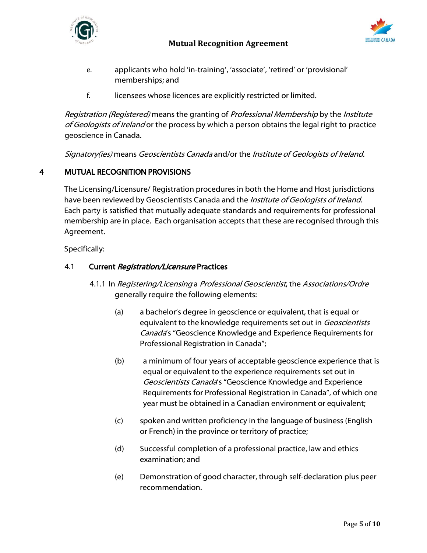



- e. applicants who hold 'in-training', 'associate', 'retired' or 'provisional' memberships; and
- f. licensees whose licences are explicitly restricted or limited.

Registration (Registered) means the granting of Professional Membership by the Institute of Geologists of Ireland or the process by which a person obtains the legal right to practice geoscience in Canada.

Signatory(ies) means Geoscientists Canada and/or the Institute of Geologists of Ireland.

# 4 MUTUAL RECOGNITION PROVISIONS

The Licensing/Licensure/ Registration procedures in both the Home and Host jurisdictions have been reviewed by Geoscientists Canada and the *Institute of Geologists of Ireland*. Each party is satisfied that mutually adequate standards and requirements for professional membership are in place. Each organisation accepts that these are recognised through this Agreement.

Specifically:

## 4.1 Current Registration/Licensure Practices

- 4.1.1 In Registering/Licensing a Professional Geoscientist, the Associations/Ordre generally require the following elements:
	- (a) a bachelor's degree in geoscience or equivalent, that is equal or equivalent to the knowledge requirements set out in Geoscientists Canada's "Geoscience Knowledge and Experience Requirements for Professional Registration in Canada";
	- (b) a minimum of four years of acceptable geoscience experience that is equal or equivalent to the experience requirements set out in Geoscientists Canada's "Geoscience Knowledge and Experience Requirements for Professional Registration in Canada", of which one year must be obtained in a Canadian environment or equivalent;
	- (c) spoken and written proficiency in the language of business (English or French) in the province or territory of practice;
	- (d) Successful completion of a professional practice, law and ethics examination; and
	- (e) Demonstration of good character, through self-declaration plus peer recommendation.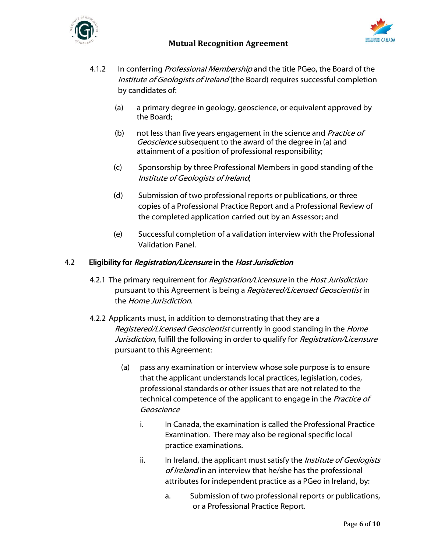



- 4.1.2 In conferring *Professional Membership* and the title PGeo, the Board of the Institute of Geologists of Ireland (the Board) requires successful completion by candidates of:
	- (a) a primary degree in geology, geoscience, or equivalent approved by the Board;
	- (b) not less than five years engagement in the science and *Practice of* Geoscience subsequent to the award of the degree in (a) and attainment of a position of professional responsibility;
	- (c) Sponsorship by three Professional Members in good standing of the Institute of Geologists of Ireland;
	- (d) Submission of two professional reports or publications, or three copies of a Professional Practice Report and a Professional Review of the completed application carried out by an Assessor; and
	- (e) Successful completion of a validation interview with the Professional Validation Panel.

#### 4.2 Eligibility for *Registration/Licensure* in the Host Jurisdiction

- 4.2.1 The primary requirement for *Registration/Licensure* in the *Host Jurisdiction* pursuant to this Agreement is being a Registered/Licensed Geoscientist in the Home Jurisdiction.
- 4.2.2 Applicants must, in addition to demonstrating that they are a Registered/Licensed Geoscientist currently in good standing in the Home Jurisdiction, fulfill the following in order to qualify for Registration/Licensure pursuant to this Agreement:
	- (a) pass any examination or interview whose sole purpose is to ensure that the applicant understands local practices, legislation, codes, professional standards or other issues that are not related to the technical competence of the applicant to engage in the Practice of Geoscience
		- i. In Canada, the examination is called the Professional Practice Examination. There may also be regional specific local practice examinations.
		- ii. In Ireland, the applicant must satisfy the *Institute of Geologists* of Ireland in an interview that he/she has the professional attributes for independent practice as a PGeo in Ireland, by:
			- a. Submission of two professional reports or publications, or a Professional Practice Report.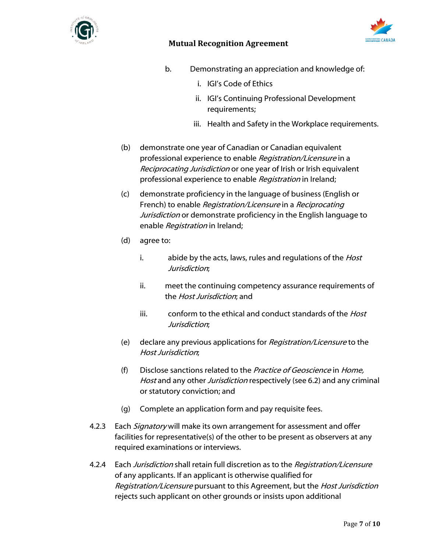



- b. Demonstrating an appreciation and knowledge of:
	- i. IGI's Code of Ethics
	- ii. IGI's Continuing Professional Development requirements;
	- iii. Health and Safety in the Workplace requirements.
- (b) demonstrate one year of Canadian or Canadian equivalent professional experience to enable Registration/Licensure in a Reciprocating Jurisdiction or one year of Irish or Irish equivalent professional experience to enable Registration in Ireland;
- (c) demonstrate proficiency in the language of business (English or French) to enable Registration/Licensure in a Reciprocating Jurisdiction or demonstrate proficiency in the English language to enable Registration in Ireland;
- (d) agree to:
	- i. abide by the acts, laws, rules and regulations of the *Host* Jurisdiction;
	- ii. meet the continuing competency assurance requirements of the Host Jurisdiction; and
	- iii. conform to the ethical and conduct standards of the *Host* Jurisdiction;
- (e) declare any previous applications for Registration/Licensure to the Host Jurisdiction;
- (f) Disclose sanctions related to the *Practice of Geoscience* in Home, Host and any other Jurisdiction respectively (see 6.2) and any criminal or statutory conviction; and
- (g) Complete an application form and pay requisite fees.
- 4.2.3 Each Signatory will make its own arrangement for assessment and offer facilities for representative(s) of the other to be present as observers at any required examinations or interviews.
- 4.2.4 Each *Jurisdiction* shall retain full discretion as to the *Registration/Licensure* of any applicants. If an applicant is otherwise qualified for Registration/Licensure pursuant to this Agreement, but the Host Jurisdiction rejects such applicant on other grounds or insists upon additional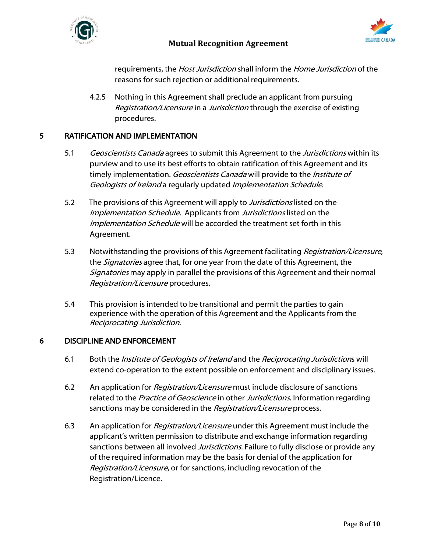



requirements, the Host Jurisdiction shall inform the Home Jurisdiction of the reasons for such rejection or additional requirements.

4.2.5 Nothing in this Agreement shall preclude an applicant from pursuing Registration/Licensure in a Jurisdiction through the exercise of existing procedures.

## 5 RATIFICATION AND IMPLEMENTATION

- 5.1 Geoscientists Canada agrees to submit this Agreement to the Jurisdictions within its purview and to use its best efforts to obtain ratification of this Agreement and its timely implementation. Geoscientists Canada will provide to the Institute of Geologists of Ireland a regularly updated Implementation Schedule.
- 5.2 The provisions of this Agreement will apply to *Jurisdictions* listed on the Implementation Schedule. Applicants from Jurisdictions listed on the Implementation Schedule will be accorded the treatment set forth in this Agreement.
- 5.3 Notwithstanding the provisions of this Agreement facilitating *Registration/Licensure*, the *Signatories* agree that, for one year from the date of this Agreement, the Signatories may apply in parallel the provisions of this Agreement and their normal Registration/Licensure procedures.
- 5.4 This provision is intended to be transitional and permit the parties to gain experience with the operation of this Agreement and the Applicants from the Reciprocating Jurisdiction.

# 6 DISCIPLINE AND ENFORCEMENT

- 6.1 Both the *Institute of Geologists of Ireland* and the *Reciprocating Jurisdictions* will extend co-operation to the extent possible on enforcement and disciplinary issues.
- 6.2 An application for *Registration/Licensure* must include disclosure of sanctions related to the Practice of Geoscience in other Jurisdictions. Information regarding sanctions may be considered in the Registration/Licensure process.
- 6.3 An application for *Registration/Licensure* under this Agreement must include the applicant's written permission to distribute and exchange information regarding sanctions between all involved *Jurisdictions*. Failure to fully disclose or provide any of the required information may be the basis for denial of the application for Registration/Licensure, or for sanctions, including revocation of the Registration/Licence.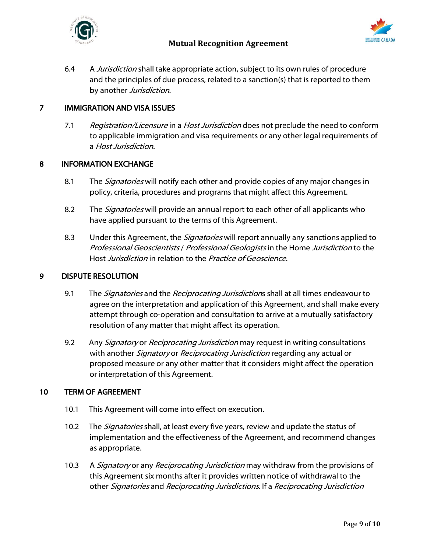



6.4 A Jurisdiction shall take appropriate action, subject to its own rules of procedure and the principles of due process, related to a sanction(s) that is reported to them by another Jurisdiction.

## 7 IMMIGRATION AND VISA ISSUES

7.1 Registration/Licensure in a Host Jurisdiction does not preclude the need to conform to applicable immigration and visa requirements or any other legal requirements of a Host Jurisdiction.

#### 8 INFORMATION EXCHANGE

- 8.1 The *Signatories* will notify each other and provide copies of any major changes in policy, criteria, procedures and programs that might affect this Agreement.
- 8.2 The *Signatories* will provide an annual report to each other of all applicants who have applied pursuant to the terms of this Agreement.
- 8.3 Under this Agreement, the *Signatories* will report annually any sanctions applied to Professional Geoscientists / Professional Geologists in the Home Jurisdiction to the Host Jurisdiction in relation to the Practice of Geoscience.

#### 9 DISPUTE RESOLUTION

- 9.1 The *Signatories* and the *Reciprocating Jurisdiction*s shall at all times endeavour to agree on the interpretation and application of this Agreement, and shall make every attempt through co-operation and consultation to arrive at a mutually satisfactory resolution of any matter that might affect its operation.
- 9.2 Any *Signatory* or *Reciprocating Jurisdiction* may request in writing consultations with another Signatory or Reciprocating Jurisdiction regarding any actual or proposed measure or any other matter that it considers might affect the operation or interpretation of this Agreement.

#### 10 TERM OF AGREEMENT

- 10.1 This Agreement will come into effect on execution.
- 10.2 The *Signatories* shall, at least every five years, review and update the status of implementation and the effectiveness of the Agreement, and recommend changes as appropriate.
- 10.3 A Signatory or any Reciprocating Jurisdiction may withdraw from the provisions of this Agreement six months after it provides written notice of withdrawal to the other Signatories and Reciprocating Jurisdictions. If a Reciprocating Jurisdiction